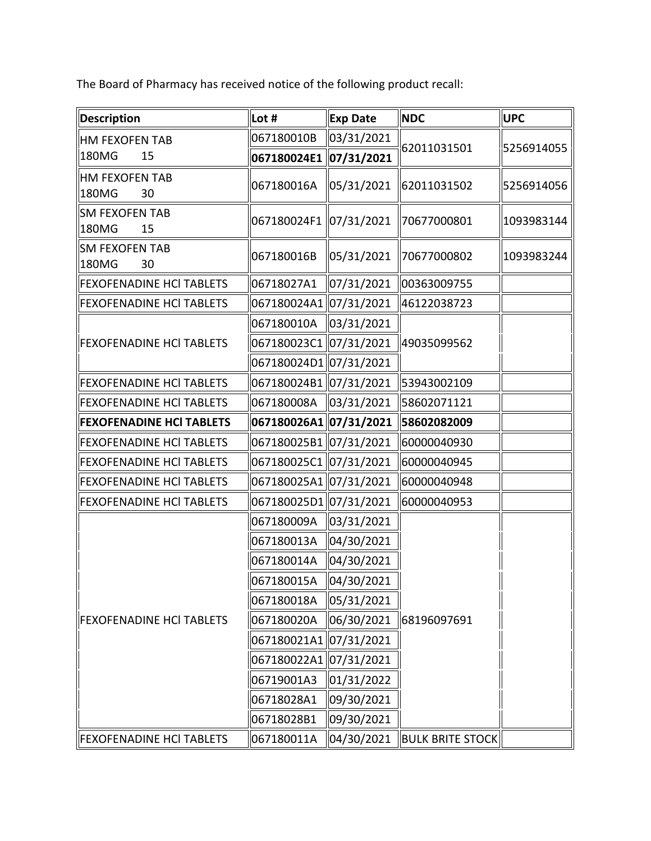The Board of Pharmacy has received notice of the following product recall:

| <b>Description</b>                   | Lot #                  | <b>Exp Date</b> | <b>NDC</b>              | UPC        |
|--------------------------------------|------------------------|-----------------|-------------------------|------------|
| <b>HM FEXOFEN TAB</b><br>180MG<br>15 | 067180010B             | 03/31/2021      | 62011031501             | 5256914055 |
|                                      | 067180024E1            | 07/31/2021      |                         |            |
| <b>HM FEXOFEN TAB</b><br>180MG<br>30 | 067180016A             | 05/31/2021      | 62011031502             | 5256914056 |
| <b>SM FEXOFEN TAB</b><br>180MG<br>15 | 067180024F1 07/31/2021 |                 | 70677000801             | 1093983144 |
| <b>SM FEXOFEN TAB</b><br>180MG<br>30 | 067180016B             | 05/31/2021      | 70677000802             | 1093983244 |
| <b>FEXOFENADINE HCI TABLETS</b>      | 06718027A1             | 07/31/2021      | 00363009755             |            |
| <b>FEXOFENADINE HCI TABLETS</b>      | 067180024A1 07/31/2021 |                 | 46122038723             |            |
| <b>FEXOFENADINE HCI TABLETS</b>      | 067180010A             | 03/31/2021      | 49035099562             |            |
|                                      | 067180023C1            | 07/31/2021      |                         |            |
|                                      | 067180024D1 07/31/2021 |                 |                         |            |
| <b>FEXOFENADINE HCI TABLETS</b>      | 067180024B1 07/31/2021 |                 | 53943002109             |            |
| <b>FEXOFENADINE HCI TABLETS</b>      | 067180008A             | 03/31/2021      | 58602071121             |            |
| <b>FEXOFENADINE HCI TABLETS</b>      | 067180026A1 07/31/2021 |                 | 58602082009             |            |
| <b>FEXOFENADINE HCI TABLETS</b>      | 067180025B1 07/31/2021 |                 | 60000040930             |            |
| <b>FEXOFENADINE HCI TABLETS</b>      | 067180025C1 07/31/2021 |                 | 60000040945             |            |
| <b>FEXOFENADINE HCI TABLETS</b>      | 067180025A1 07/31/2021 |                 | 60000040948             |            |
| <b>FEXOFENADINE HCI TABLETS</b>      | 067180025D1 07/31/2021 |                 | 60000040953             |            |
| <b>FEXOFENADINE HCI TABLETS</b>      | 067180009A             | 03/31/2021      | 68196097691             |            |
|                                      | 067180013A             | 04/30/2021      |                         |            |
|                                      | 067180014A             | 04/30/2021      |                         |            |
|                                      | 067180015A             | 04/30/2021      |                         |            |
|                                      | 067180018A             | 05/31/2021      |                         |            |
|                                      | 067180020A             | 06/30/2021      |                         |            |
|                                      | 067180021A1 07/31/2021 |                 |                         |            |
|                                      | 067180022A1 07/31/2021 |                 |                         |            |
|                                      | 06719001A3             | 01/31/2022      |                         |            |
|                                      | 06718028A1             | 09/30/2021      |                         |            |
|                                      | 06718028B1             | 09/30/2021      |                         |            |
| <b>FEXOFENADINE HCI TABLETS</b>      | 067180011A             | 04/30/2021      | <b>BULK BRITE STOCK</b> |            |